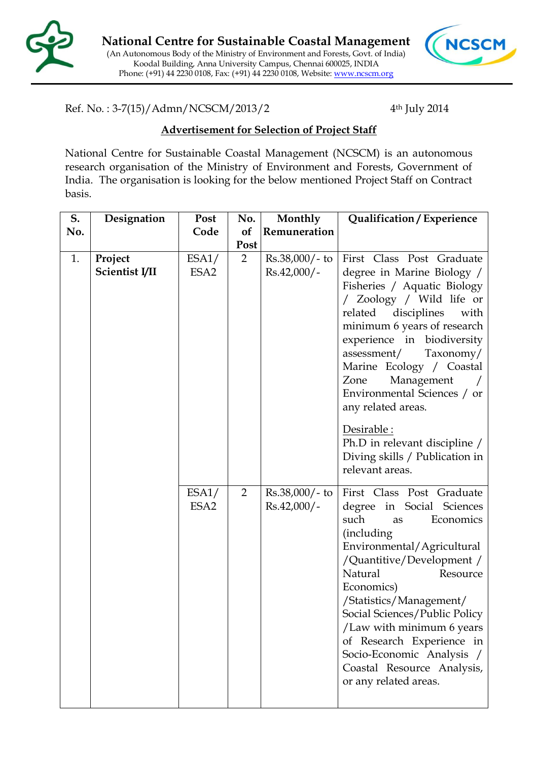



Ref. No. : 3-7(15)/Admn/NCSCM/2013/2 4

4<sup>th</sup> July 2014

## **Advertisement for Selection of Project Staff**

National Centre for Sustainable Coastal Management (NCSCM) is an autonomous research organisation of the Ministry of Environment and Forests, Government of India. The organisation is looking for the below mentioned Project Staff on Contract basis.

| S.  | Designation               | Post                      | No.                    | Monthly                           | Qualification / Experience                                                                                                                                                                                                                                                                                                                                                                                        |
|-----|---------------------------|---------------------------|------------------------|-----------------------------------|-------------------------------------------------------------------------------------------------------------------------------------------------------------------------------------------------------------------------------------------------------------------------------------------------------------------------------------------------------------------------------------------------------------------|
| No. |                           | Code                      | of                     | Remuneration                      |                                                                                                                                                                                                                                                                                                                                                                                                                   |
| 1.  | Project<br>Scientist I/II | ESA1/<br>ESA <sub>2</sub> | Post<br>$\overline{2}$ | $Rs.38,000/- to$<br>$Rs.42,000/-$ | First Class Post Graduate<br>degree in Marine Biology /<br>Fisheries / Aquatic Biology<br>/ Zoology / Wild life or<br>related<br>disciplines<br>with<br>minimum 6 years of research<br>experience in biodiversity<br>assessment/<br>Taxonomy/<br>Marine Ecology / Coastal<br>Management<br>Zone<br>Environmental Sciences / or<br>any related areas.<br>Desirable :<br>Ph.D in relevant discipline /              |
|     |                           |                           |                        |                                   | Diving skills / Publication in<br>relevant areas.                                                                                                                                                                                                                                                                                                                                                                 |
|     |                           | ESA1/<br>ESA <sub>2</sub> | $\overline{2}$         | $Rs.38,000/- to$<br>$Rs.42,000/-$ | First Class Post Graduate<br>degree in Social Sciences<br>such<br>Economics<br>as<br><i>(including)</i><br>Environmental/Agricultural<br>/Quantitive/Development /<br>Natural<br>Resource<br>Economics)<br>/Statistics/Management/<br>Social Sciences/Public Policy<br>/Law with minimum 6 years<br>of Research Experience in<br>Socio-Economic Analysis /<br>Coastal Resource Analysis,<br>or any related areas. |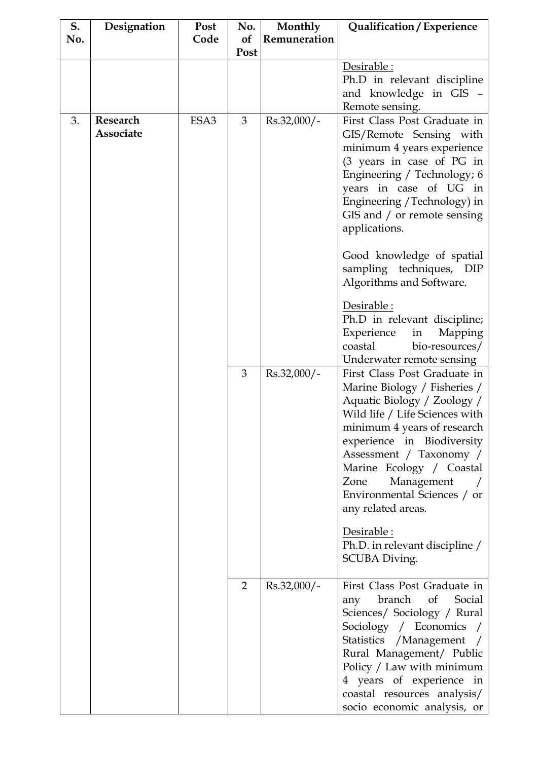| S.  | Designation | Post | No.            | Monthly       | Qualification / Experience                                    |
|-----|-------------|------|----------------|---------------|---------------------------------------------------------------|
| No. |             | Code | of             | Remuneration  |                                                               |
|     |             |      | Post           |               |                                                               |
|     |             |      |                |               | Desirable :                                                   |
|     |             |      |                |               | Ph.D in relevant discipline                                   |
|     |             |      |                |               | and knowledge in GIS -                                        |
|     |             |      |                |               | Remote sensing.                                               |
| 3.  | Research    | ESA3 | 3              | Rs.32,000/-   | First Class Post Graduate in                                  |
|     | Associate   |      |                |               | GIS/Remote Sensing with                                       |
|     |             |      |                |               | minimum 4 years experience<br>(3 years in case of PG in       |
|     |             |      |                |               | Engineering / Technology; 6                                   |
|     |             |      |                |               | years in case of UG in                                        |
|     |             |      |                |               | Engineering / Technology) in                                  |
|     |             |      |                |               | GIS and / or remote sensing                                   |
|     |             |      |                |               | applications.                                                 |
|     |             |      |                |               |                                                               |
|     |             |      |                |               | Good knowledge of spatial                                     |
|     |             |      |                |               | sampling techniques, DIP                                      |
|     |             |      |                |               | Algorithms and Software.                                      |
|     |             |      |                |               | Desirable :                                                   |
|     |             |      |                |               | Ph.D in relevant discipline;                                  |
|     |             |      |                |               | Experience<br>Mapping<br>in                                   |
|     |             |      |                |               | coastal<br>bio-resources/                                     |
|     |             |      |                |               | Underwater remote sensing                                     |
|     |             |      | 3              | $Rs.32,000/-$ | First Class Post Graduate in                                  |
|     |             |      |                |               | Marine Biology / Fisheries /                                  |
|     |             |      |                |               | Aquatic Biology / Zoology /<br>Wild life / Life Sciences with |
|     |             |      |                |               | minimum 4 years of research                                   |
|     |             |      |                |               | experience in Biodiversity                                    |
|     |             |      |                |               | Assessment / Taxonomy /                                       |
|     |             |      |                |               | Marine Ecology / Coastal                                      |
|     |             |      |                |               | Zone<br>Management                                            |
|     |             |      |                |               | Environmental Sciences / or                                   |
|     |             |      |                |               | any related areas.                                            |
|     |             |      |                |               | Desirable :                                                   |
|     |             |      |                |               | Ph.D. in relevant discipline /                                |
|     |             |      |                |               | SCUBA Diving.                                                 |
|     |             |      |                |               |                                                               |
|     |             |      | $\overline{2}$ | Rs.32,000/-   | First Class Post Graduate in                                  |
|     |             |      |                |               | branch<br>of<br>Social<br>any                                 |
|     |             |      |                |               | Sciences/ Sociology / Rural                                   |
|     |             |      |                |               | Sociology / Economics /                                       |
|     |             |      |                |               | Statistics / Management /                                     |
|     |             |      |                |               | Rural Management/ Public<br>Policy / Law with minimum         |
|     |             |      |                |               | 4 years of experience in                                      |
|     |             |      |                |               | coastal resources analysis/                                   |
|     |             |      |                |               | socio economic analysis, or                                   |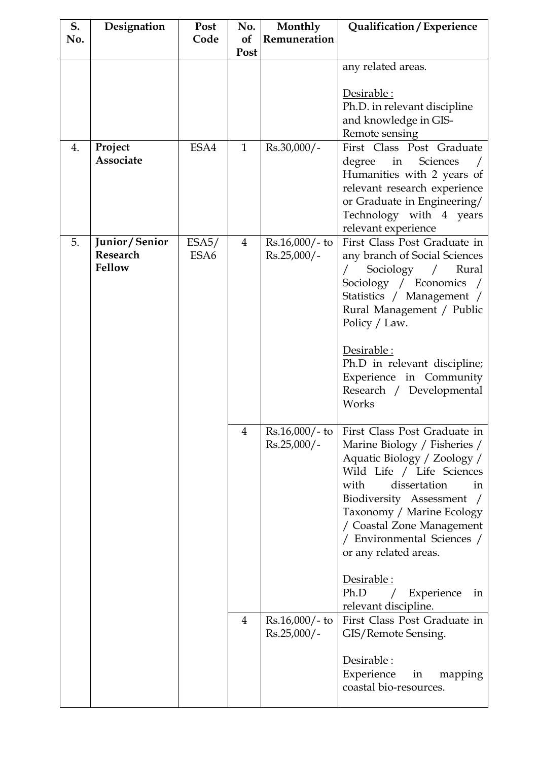| S.  | Designation     | Post             | No.            | Monthly          | Qualification / Experience                     |
|-----|-----------------|------------------|----------------|------------------|------------------------------------------------|
| No. |                 | Code             | of             | Remuneration     |                                                |
|     |                 |                  | Post           |                  |                                                |
|     |                 |                  |                |                  | any related areas.                             |
|     |                 |                  |                |                  |                                                |
|     |                 |                  |                |                  | Desirable:                                     |
|     |                 |                  |                |                  | Ph.D. in relevant discipline                   |
|     |                 |                  |                |                  | and knowledge in GIS-                          |
|     |                 |                  |                |                  | Remote sensing                                 |
| 4.  | Project         | ESA4             | $\mathbf{1}$   | $Rs.30,000/-$    | First Class Post Graduate                      |
|     | Associate       |                  |                |                  | degree<br>Sciences<br>in                       |
|     |                 |                  |                |                  | Humanities with 2 years of                     |
|     |                 |                  |                |                  | relevant research experience                   |
|     |                 |                  |                |                  | or Graduate in Engineering/                    |
|     |                 |                  |                |                  | Technology with 4 years<br>relevant experience |
| 5.  | Junior / Senior | ESA5/            | $\overline{4}$ | $Rs.16,000/-$ to | First Class Post Graduate in                   |
|     | Research        | ESA <sub>6</sub> |                | $Rs.25,000/-$    | any branch of Social Sciences                  |
|     | Fellow          |                  |                |                  | Sociology<br>Rural<br>$\sqrt{2}$               |
|     |                 |                  |                |                  | Sociology / Economics /                        |
|     |                 |                  |                |                  | Statistics / Management /                      |
|     |                 |                  |                |                  | Rural Management / Public                      |
|     |                 |                  |                |                  | Policy / Law.                                  |
|     |                 |                  |                |                  |                                                |
|     |                 |                  |                |                  | Desirable:                                     |
|     |                 |                  |                |                  | Ph.D in relevant discipline;                   |
|     |                 |                  |                |                  | Experience in Community                        |
|     |                 |                  |                |                  | Research / Developmental                       |
|     |                 |                  |                |                  | Works                                          |
|     |                 |                  |                |                  |                                                |
|     |                 |                  | $\overline{4}$ | $Rs.16,000/-$ to | First Class Post Graduate in                   |
|     |                 |                  |                | $Rs.25,000/-$    | Marine Biology / Fisheries /                   |
|     |                 |                  |                |                  | Aquatic Biology / Zoology /                    |
|     |                 |                  |                |                  | Wild Life / Life Sciences                      |
|     |                 |                  |                |                  | dissertation<br>with<br>in                     |
|     |                 |                  |                |                  | Biodiversity Assessment                        |
|     |                 |                  |                |                  | Taxonomy / Marine Ecology                      |
|     |                 |                  |                |                  | / Coastal Zone Management                      |
|     |                 |                  |                |                  | / Environmental Sciences /                     |
|     |                 |                  |                |                  | or any related areas.                          |
|     |                 |                  |                |                  | Desirable :                                    |
|     |                 |                  |                |                  | Ph.D<br>Experience<br>in                       |
|     |                 |                  |                |                  | relevant discipline.                           |
|     |                 |                  | $\overline{4}$ | $Rs.16,000/-$ to | First Class Post Graduate in                   |
|     |                 |                  |                | $Rs.25,000/-$    | GIS/Remote Sensing.                            |
|     |                 |                  |                |                  |                                                |
|     |                 |                  |                |                  | Desirable:                                     |
|     |                 |                  |                |                  | Experience<br>in<br>mapping                    |
|     |                 |                  |                |                  | coastal bio-resources.                         |
|     |                 |                  |                |                  |                                                |